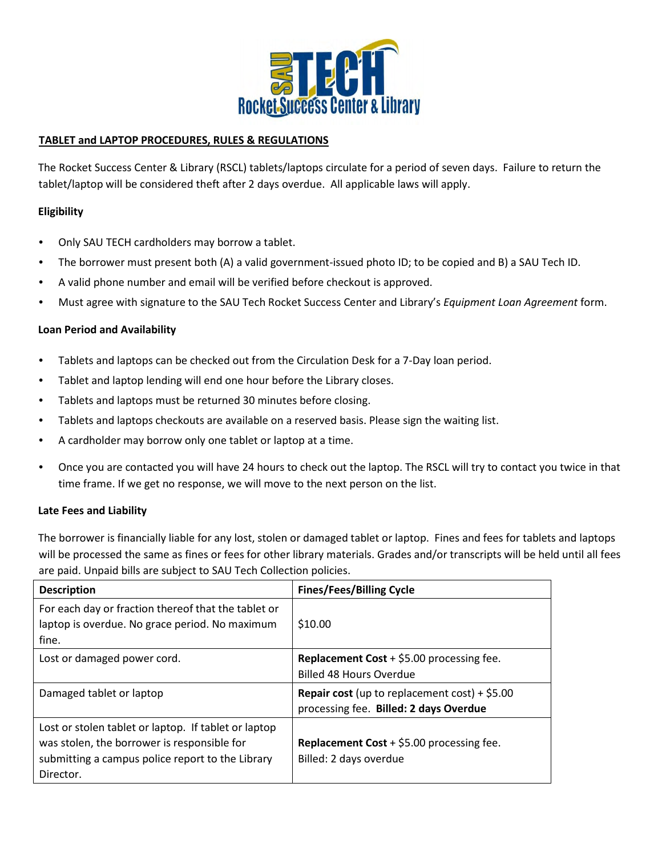

## **TABLET and LAPTOP PROCEDURES, RULES & REGULATIONS**

The Rocket Success Center & Library (RSCL) tablets/laptops circulate for a period of seven days. Failure to return the tablet/laptop will be considered theft after 2 days overdue. All applicable laws will apply.

## **Eligibility**

- Only SAU TECH cardholders may borrow a tablet.
- The borrower must present both (A) a valid government-issued photo ID; to be copied and B) a SAU Tech ID.
- A valid phone number and email will be verified before checkout is approved.
- Must agree with signature to the SAU Tech Rocket Success Center and Library's *Equipment Loan Agreement* form.

### **Loan Period and Availability**

- Tablets and laptops can be checked out from the Circulation Desk for a 7-Day loan period.
- Tablet and laptop lending will end one hour before the Library closes.
- Tablets and laptops must be returned 30 minutes before closing.
- Tablets and laptops checkouts are available on a reserved basis. Please sign the waiting list.
- A cardholder may borrow only one tablet or laptop at a time.
- Once you are contacted you will have 24 hours to check out the laptop. The RSCL will try to contact you twice in that time frame. If we get no response, we will move to the next person on the list.

### **Late Fees and Liability**

The borrower is financially liable for any lost, stolen or damaged tablet or laptop. Fines and fees for tablets and laptops will be processed the same as fines or fees for other library materials. Grades and/or transcripts will be held until all fees are paid. Unpaid bills are subject to SAU Tech Collection policies.

| <b>Description</b>                                                                                                                                                   | <b>Fines/Fees/Billing Cycle</b>                                                                 |
|----------------------------------------------------------------------------------------------------------------------------------------------------------------------|-------------------------------------------------------------------------------------------------|
| For each day or fraction thereof that the tablet or<br>laptop is overdue. No grace period. No maximum<br>fine.                                                       | \$10.00                                                                                         |
| Lost or damaged power cord.                                                                                                                                          | <b>Replacement Cost</b> + $$5.00$ processing fee.<br><b>Billed 48 Hours Overdue</b>             |
| Damaged tablet or laptop                                                                                                                                             | <b>Repair cost</b> (up to replacement cost) + $$5.00$<br>processing fee. Billed: 2 days Overdue |
| Lost or stolen tablet or laptop. If tablet or laptop<br>was stolen, the borrower is responsible for<br>submitting a campus police report to the Library<br>Director. | Replacement Cost + \$5.00 processing fee.<br>Billed: 2 days overdue                             |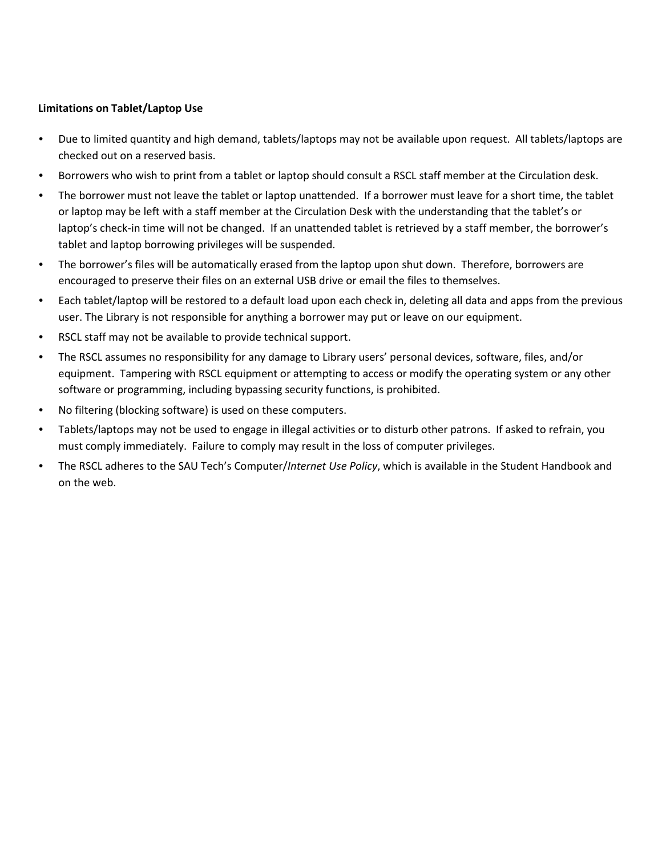## **Limitations on Tablet/Laptop Use**

- Due to limited quantity and high demand, tablets/laptops may not be available upon request. All tablets/laptops are checked out on a reserved basis.
- Borrowers who wish to print from a tablet or laptop should consult a RSCL staff member at the Circulation desk.
- The borrower must not leave the tablet or laptop unattended. If a borrower must leave for a short time, the tablet or laptop may be left with a staff member at the Circulation Desk with the understanding that the tablet's or laptop's check-in time will not be changed. If an unattended tablet is retrieved by a staff member, the borrower's tablet and laptop borrowing privileges will be suspended.
- The borrower's files will be automatically erased from the laptop upon shut down. Therefore, borrowers are encouraged to preserve their files on an external USB drive or email the files to themselves.
- Each tablet/laptop will be restored to a default load upon each check in, deleting all data and apps from the previous user. The Library is not responsible for anything a borrower may put or leave on our equipment.
- RSCL staff may not be available to provide technical support.
- The RSCL assumes no responsibility for any damage to Library users' personal devices, software, files, and/or equipment. Tampering with RSCL equipment or attempting to access or modify the operating system or any other software or programming, including bypassing security functions, is prohibited.
- No filtering (blocking software) is used on these computers.
- Tablets/laptops may not be used to engage in illegal activities or to disturb other patrons. If asked to refrain, you must comply immediately. Failure to comply may result in the loss of computer privileges.
- The RSCL adheres to the SAU Tech's Computer/*Internet Use Policy*, which is available in the Student Handbook and on the web.